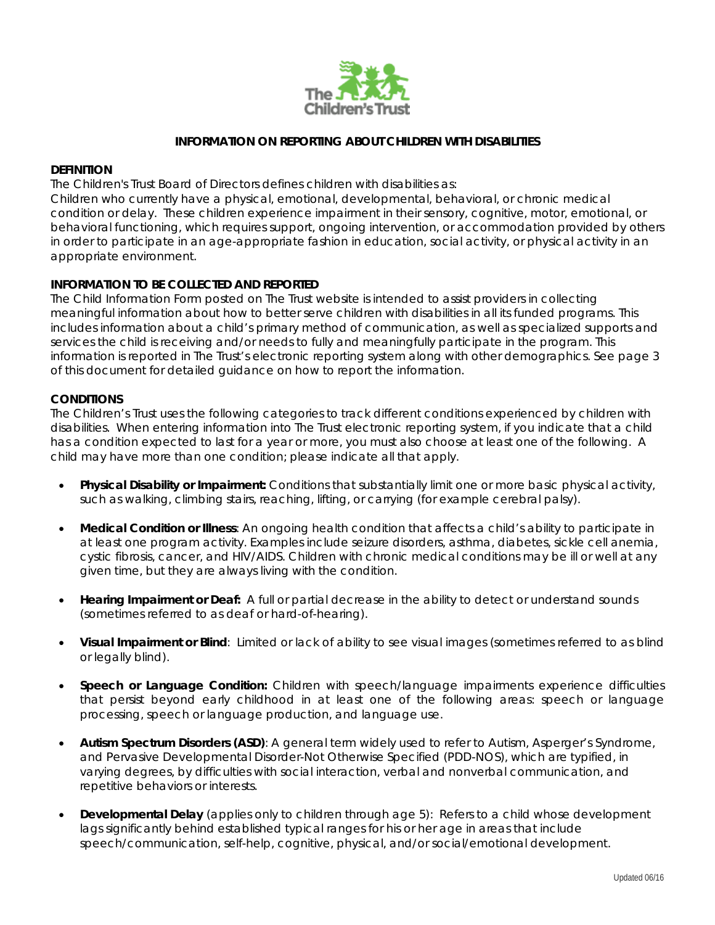

#### **INFORMATION ON REPORTING ABOUT CHILDREN WITH DISABILITIES**

#### **DEFINITION**

The Children's Trust Board of Directors defines children with disabilities as:

*Children who currently have a physical, emotional, developmental, behavioral, or chronic medical condition or delay. These children experience impairment in their sensory, cognitive, motor, emotional, or behavioral functioning, which requires support, ongoing intervention, or accommodation provided by others in order to participate in an age-appropriate fashion in education, social activity, or physical activity in an appropriate environment.*

#### **INFORMATION TO BE COLLECTED AND REPORTED**

The Child Information Form posted on The Trust website is intended to assist providers in collecting meaningful information about how to better serve children with disabilities in all its funded programs. This includes information about a child's primary method of communication, as well as specialized supports and services the child is receiving and/or needs to fully and meaningfully participate in the program. This information is reported in The Trust's electronic reporting system along with other demographics. See page 3 of this document for detailed guidance on how to report the information.

#### **CONDITIONS**

The Children's Trust uses the following categories to track different conditions experienced by children with disabilities. When entering information into The Trust electronic reporting system, if you indicate that a child has a condition expected to last for a year or more, you must also choose at least one of the following. A child may have more than one condition; please indicate all that apply.

- **Physical Disability or Impairment:** Conditions that substantially limit one or more basic physical activity, such as walking, climbing stairs, reaching, lifting, or carrying (for example cerebral palsy).
- **Medical Condition or Illness**: An ongoing health condition that affects a child's ability to participate in at least one program activity. Examples include seizure disorders, asthma, diabetes, sickle cell anemia, cystic fibrosis, cancer, and HIV/AIDS. Children with chronic medical conditions may be ill or well at any given time, but they are always living with the condition.
- **Hearing Impairment or Deaf:** A full or partial decrease in the ability to detect or understand sounds (sometimes referred to as deaf or hard-of-hearing).
- **Visual Impairment or Blind**: Limited or lack of ability to see visual images (sometimes referred to as blind or legally blind).
- **Speech or Language Condition:** Children with speech/language impairments experience difficulties that persist beyond early childhood in at least one of the following areas: speech or language processing, speech or language production, and language use.
- **Autism Spectrum Disorders (ASD)**: A general term widely used to refer to Autism, Asperger's Syndrome, and Pervasive Developmental Disorder-Not Otherwise Specified (PDD-NOS), which are typified, in varying degrees, by difficulties with social interaction, verbal and nonverbal communication, and repetitive behaviors or interests.
- **Developmental Delay** (applies only to children through age 5): Refers to a child whose development lags significantly behind established typical ranges for his or her age in areas that include speech/communication, self-help, cognitive, physical, and/or social/emotional development.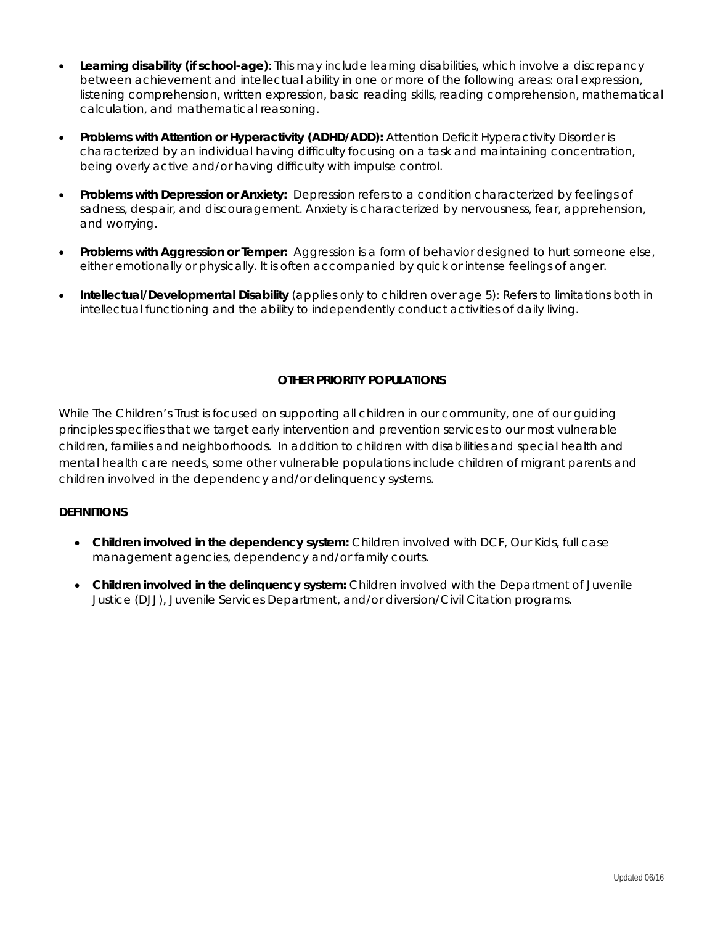- **Learning disability (if school-age)**: This may include learning disabilities, which involve a discrepancy between achievement and intellectual ability in one or more of the following areas: oral expression, listening comprehension, written expression, basic reading skills, reading comprehension, mathematical calculation, and mathematical reasoning.
- **Problems with Attention or Hyperactivity (ADHD/ADD):** Attention Deficit Hyperactivity Disorder is characterized by an individual having difficulty focusing on a task and maintaining concentration, being overly active and/or having difficulty with impulse control.
- **Problems with Depression or Anxiety:** Depression refers to a condition characterized by feelings of sadness, despair, and discouragement. Anxiety is characterized by nervousness, fear, apprehension, and worrying.
- **Problems with Aggression or Temper:** Aggression is a form of behavior designed to hurt someone else, either emotionally or physically. It is often accompanied by quick or intense feelings of anger.
- **Intellectual/Developmental Disability** (applies only to children over age 5): Refers to limitations both in intellectual functioning and the ability to independently conduct activities of daily living.

#### **OTHER PRIORITY POPULATIONS**

While The Children's Trust is focused on supporting all children in our community, one of our guiding principles specifies that we target early intervention and prevention services to our most vulnerable children, families and neighborhoods. In addition to children with disabilities and special health and mental health care needs, some other vulnerable populations include children of migrant parents and children involved in the dependency and/or delinquency systems.

#### **DEFINITIONS**

- **Children involved in the dependency system:** Children involved with DCF, Our Kids, full case management agencies, dependency and/or family courts.
- **Children involved in the delinquency system:** Children involved with the Department of Juvenile Justice (DJJ), Juvenile Services Department, and/or diversion/Civil Citation programs.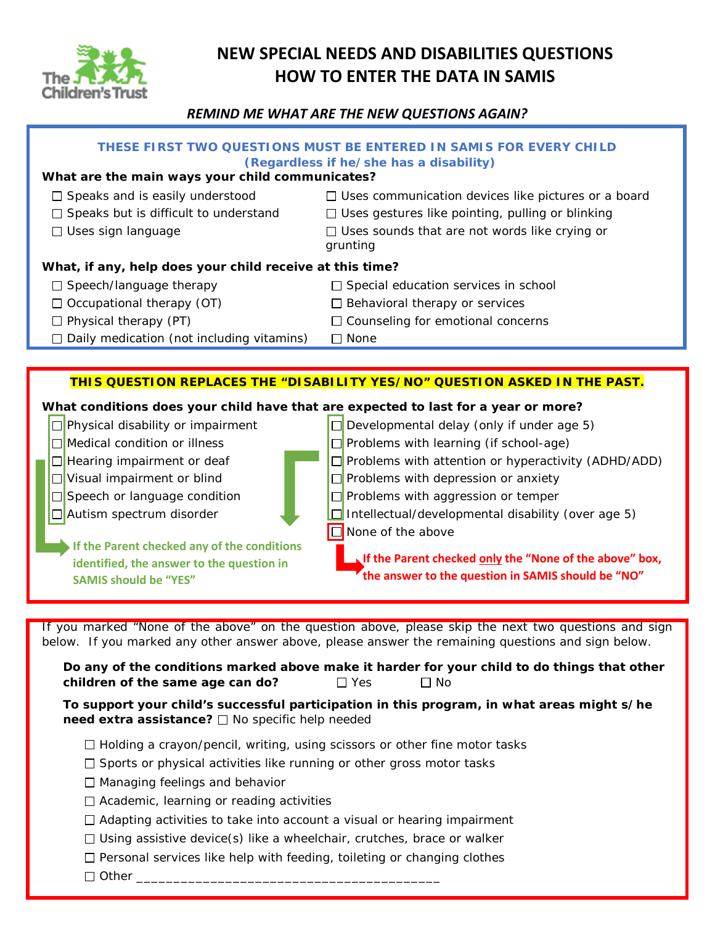

# **NEW SPECIAL NEEDS AND DISABILITIES QUESTIONS HOW TO ENTER THE DATA IN SAMIS**

## *REMIND ME WHAT ARE THE NEW QUESTIONS AGAIN?*

| THESE FIRST TWO QUESTIONS MUST BE ENTERED IN SAMIS FOR EVERY CHILD<br>(Regardless if he/she has a disability)<br>What are the main ways your child communicates? |                                                                                                                                                                                                            |  |  |  |  |
|------------------------------------------------------------------------------------------------------------------------------------------------------------------|------------------------------------------------------------------------------------------------------------------------------------------------------------------------------------------------------------|--|--|--|--|
|                                                                                                                                                                  |                                                                                                                                                                                                            |  |  |  |  |
| $\Box$ Speaks and is easily understood                                                                                                                           | $\Box$ Uses communication devices like pictures or a board                                                                                                                                                 |  |  |  |  |
| $\Box$ Speaks but is difficult to understand                                                                                                                     | $\Box$ Uses gestures like pointing, pulling or blinking                                                                                                                                                    |  |  |  |  |
| $\Box$ Uses sign language                                                                                                                                        | $\Box$ Uses sounds that are not words like crying or<br>grunting                                                                                                                                           |  |  |  |  |
| What, if any, help does your child receive at this time?                                                                                                         |                                                                                                                                                                                                            |  |  |  |  |
| $\Box$ Speech/language therapy                                                                                                                                   | $\Box$ Special education services in school                                                                                                                                                                |  |  |  |  |
| $\Box$ Occupational therapy (OT)                                                                                                                                 | $\Box$ Behavioral therapy or services                                                                                                                                                                      |  |  |  |  |
| $\Box$ Physical therapy (PT)                                                                                                                                     | □ Counseling for emotional concerns                                                                                                                                                                        |  |  |  |  |
| $\Box$ Daily medication (not including vitamins)                                                                                                                 | $\Box$ None                                                                                                                                                                                                |  |  |  |  |
|                                                                                                                                                                  |                                                                                                                                                                                                            |  |  |  |  |
|                                                                                                                                                                  | THIS QUESTION REPLACES THE "DISABILITY YES/NO" QUESTION ASKED IN THE PAST.                                                                                                                                 |  |  |  |  |
|                                                                                                                                                                  |                                                                                                                                                                                                            |  |  |  |  |
| What conditions does your child have that are expected to last for a year or more?                                                                               |                                                                                                                                                                                                            |  |  |  |  |
| $\Box$ Physical disability or impairment                                                                                                                         | □ Developmental delay (only if under age 5)                                                                                                                                                                |  |  |  |  |
| $\Box$ Medical condition or illness                                                                                                                              | $\Box$ Problems with learning (if school-age)                                                                                                                                                              |  |  |  |  |
| $\Box$ Hearing impairment or deaf                                                                                                                                | $\Box$ Problems with attention or hyperactivity (ADHD/ADD)                                                                                                                                                 |  |  |  |  |
| $\Box$ Visual impairment or blind                                                                                                                                | $\Box$ Problems with depression or anxiety                                                                                                                                                                 |  |  |  |  |
| $\Box$ Speech or language condition                                                                                                                              | $\Box$ Problems with aggression or temper                                                                                                                                                                  |  |  |  |  |
| $\Box$ Autism spectrum disorder                                                                                                                                  | $\Box$ Intellectual/developmental disability (over age 5)                                                                                                                                                  |  |  |  |  |
|                                                                                                                                                                  | $\Box$ None of the above                                                                                                                                                                                   |  |  |  |  |
| If the Parent checked any of the conditions                                                                                                                      |                                                                                                                                                                                                            |  |  |  |  |
| identified, the answer to the question in                                                                                                                        | If the Parent checked only the "None of the above" box,                                                                                                                                                    |  |  |  |  |
| <b>SAMIS should be "YES"</b>                                                                                                                                     | the answer to the question in SAMIS should be "NO"                                                                                                                                                         |  |  |  |  |
|                                                                                                                                                                  |                                                                                                                                                                                                            |  |  |  |  |
|                                                                                                                                                                  |                                                                                                                                                                                                            |  |  |  |  |
|                                                                                                                                                                  | If you marked "None of the above" on the question above, please skip the next two questions and sign<br>below. If you marked any other answer above, please answer the remaining questions and sign below. |  |  |  |  |
| children of the same age can do?                                                                                                                                 | Do any of the conditions marked above make it harder for your child to do things that other<br>$\Box$ No<br>$\Box$ Yes                                                                                     |  |  |  |  |

**To support your child's successful participation in this program, in what areas might s/he need extra assistance?** □ No specific help needed

- $\Box$  Holding a crayon/pencil, writing, using scissors or other fine motor tasks
- $\square$  Sports or physical activities like running or other gross motor tasks
- $\Box$  Managing feelings and behavior
- $\Box$  Academic, learning or reading activities
- □ Adapting activities to take into account a visual or hearing impairment
- $\Box$  Using assistive device(s) like a wheelchair, crutches, brace or walker
- $\square$  Personal services like help with feeding, toileting or changing clothes
- $\Box$  Other  $\rule{1em}{0.15mm}$